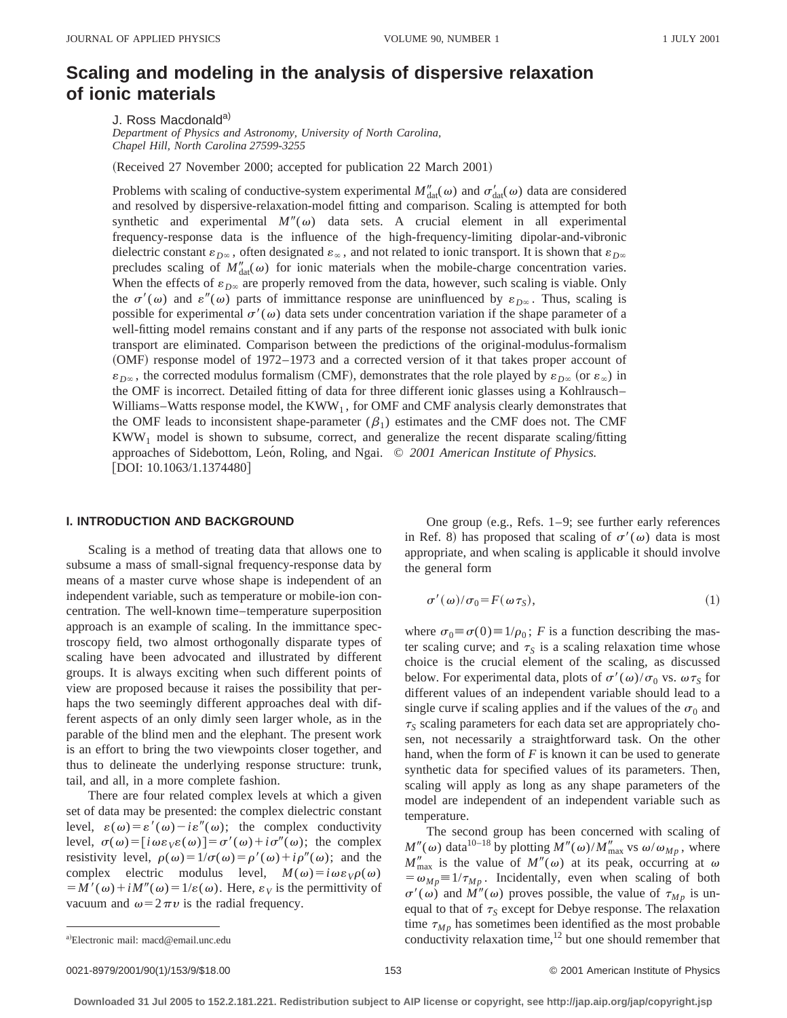# **Scaling and modeling in the analysis of dispersive relaxation of ionic materials**

J. Ross Macdonald<sup>a)</sup>

*Department of Physics and Astronomy, University of North Carolina, Chapel Hill, North Carolina 27599-3255*

(Received 27 November 2000; accepted for publication 22 March 2001)

Problems with scaling of conductive-system experimental  $M''_{\text{dat}}(\omega)$  and  $\sigma'_{\text{dat}}(\omega)$  data are considered and resolved by dispersive-relaxation-model fitting and comparison. Scaling is attempted for both synthetic and experimental  $M''(\omega)$  data sets. A crucial element in all experimental frequency-response data is the influence of the high-frequency-limiting dipolar-and-vibronic dielectric constant  $\varepsilon_{D^\infty}$ , often designated  $\varepsilon_\infty$ , and not related to ionic transport. It is shown that  $\varepsilon_{D^\infty}$ precludes scaling of  $M''_{\text{dat}}(\omega)$  for ionic materials when the mobile-charge concentration varies. When the effects of  $\varepsilon_{D\infty}$  are properly removed from the data, however, such scaling is viable. Only the  $\sigma'(\omega)$  and  $\varepsilon''(\omega)$  parts of immittance response are uninfluenced by  $\varepsilon_{D\infty}$ . Thus, scaling is possible for experimental  $\sigma'(\omega)$  data sets under concentration variation if the shape parameter of a well-fitting model remains constant and if any parts of the response not associated with bulk ionic transport are eliminated. Comparison between the predictions of the original-modulus-formalism (OMF) response model of 1972–1973 and a corrected version of it that takes proper account of  $\varepsilon_{D^\infty}$ , the corrected modulus formalism (CMF), demonstrates that the role played by  $\varepsilon_{D^\infty}$  (or  $\varepsilon_\infty$ ) in the OMF is incorrect. Detailed fitting of data for three different ionic glasses using a Kohlrausch– Williams–Watts response model, the  $KWW_1$ , for OMF and CMF analysis clearly demonstrates that the OMF leads to inconsistent shape-parameter  $(\beta_1)$  estimates and the CMF does not. The CMF  $KWW<sub>1</sub>$  model is shown to subsume, correct, and generalize the recent disparate scaling/fitting approaches of Sidebottom, León, Roling, and Ngai. © 2001 American Institute of Physics.  $[DOI: 10.1063/1.1374480]$ 

## **I. INTRODUCTION AND BACKGROUND**

Scaling is a method of treating data that allows one to subsume a mass of small-signal frequency-response data by means of a master curve whose shape is independent of an independent variable, such as temperature or mobile-ion concentration. The well-known time–temperature superposition approach is an example of scaling. In the immittance spectroscopy field, two almost orthogonally disparate types of scaling have been advocated and illustrated by different groups. It is always exciting when such different points of view are proposed because it raises the possibility that perhaps the two seemingly different approaches deal with different aspects of an only dimly seen larger whole, as in the parable of the blind men and the elephant. The present work is an effort to bring the two viewpoints closer together, and thus to delineate the underlying response structure: trunk, tail, and all, in a more complete fashion.

There are four related complex levels at which a given set of data may be presented: the complex dielectric constant level,  $\varepsilon(\omega) = \varepsilon'(\omega) - i\varepsilon''(\omega)$ ; the complex conductivity level,  $\sigma(\omega) = [i\omega\varepsilon_V \varepsilon(\omega)] = \sigma'(\omega) + i\sigma''(\omega)$ ; the complex resistivity level,  $\rho(\omega)=1/\sigma(\omega)=\rho'(\omega)+i\rho''(\omega)$ ; and the complex electric modulus level,  $M(\omega) = i \omega \varepsilon_V \rho(\omega)$  $= M'(\omega) + iM''(\omega) = 1/\varepsilon(\omega)$ . Here,  $\varepsilon_V$  is the permittivity of vacuum and  $\omega = 2\pi v$  is the radial frequency.

One group (e.g., Refs.  $1-9$ ; see further early references in Ref. 8) has proposed that scaling of  $\sigma'(\omega)$  data is most appropriate, and when scaling is applicable it should involve the general form

$$
\sigma'(\omega)/\sigma_0 = F(\omega \tau_S),\tag{1}
$$

where  $\sigma_0 \equiv \sigma(0) \equiv 1/\rho_0$ ; *F* is a function describing the master scaling curve; and  $\tau_s$  is a scaling relaxation time whose choice is the crucial element of the scaling, as discussed below. For experimental data, plots of  $\sigma'(\omega)/\sigma_0$  vs.  $\omega \tau_s$  for different values of an independent variable should lead to a single curve if scaling applies and if the values of the  $\sigma_0$  and  $\tau_s$  scaling parameters for each data set are appropriately chosen, not necessarily a straightforward task. On the other hand, when the form of *F* is known it can be used to generate synthetic data for specified values of its parameters. Then, scaling will apply as long as any shape parameters of the model are independent of an independent variable such as temperature.

The second group has been concerned with scaling of  $M''(\omega)$  data<sup>10–18</sup> by plotting  $M''(\omega)/M''_{\text{max}}$  vs  $\omega/\omega_{Mp}$ , where  $M''_{\text{max}}$  is the value of  $M''(\omega)$  at its peak, occurring at  $\omega$  $= \omega_{Mp} \equiv 1/\tau_{Mp}$ . Incidentally, even when scaling of both  $\sigma'(\omega)$  and  $M''(\omega)$  proves possible, the value of  $\tau_{Mp}$  is unequal to that of  $\tau_s$  except for Debye response. The relaxation time  $\tau_{Mp}$  has sometimes been identified as the most probable conductivity relaxation time, $^{12}$  but one should remember that

Electronic mail: macd@email.unc.edu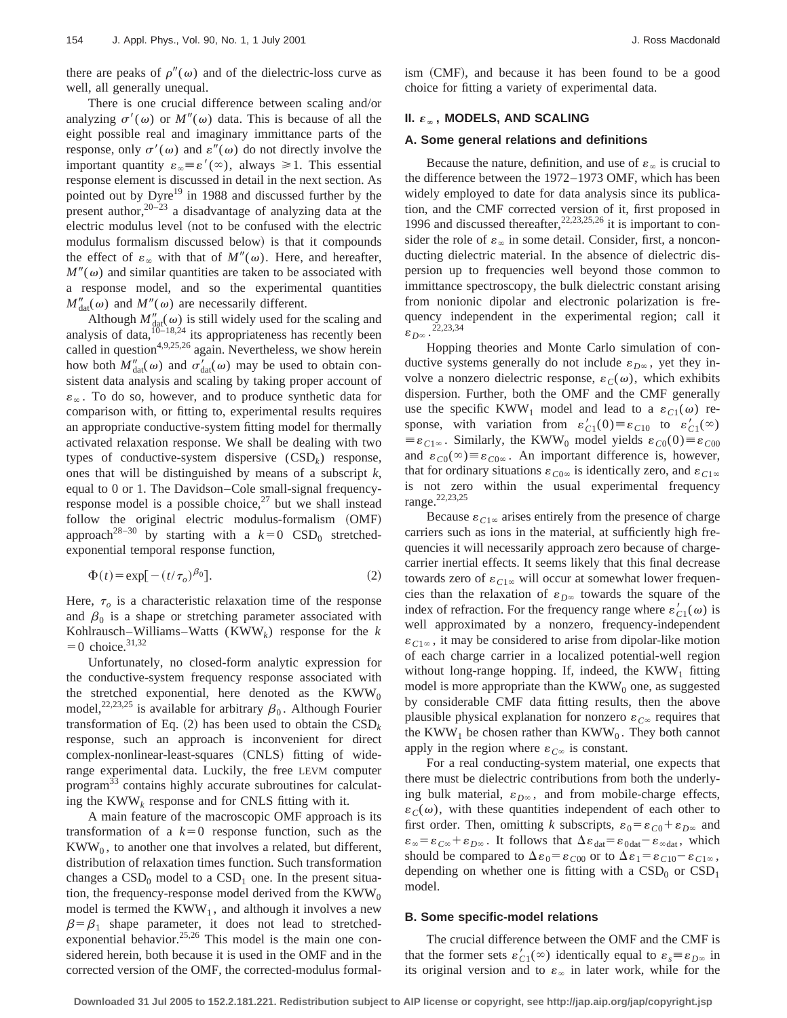there are peaks of  $\rho''(\omega)$  and of the dielectric-loss curve as well, all generally unequal.

There is one crucial difference between scaling and/or analyzing  $\sigma'(\omega)$  or  $M''(\omega)$  data. This is because of all the eight possible real and imaginary immittance parts of the response, only  $\sigma'(\omega)$  and  $\varepsilon''(\omega)$  do not directly involve the important quantity  $\varepsilon_{\infty} \equiv \varepsilon'(\infty)$ , always  $\geq 1$ . This essential response element is discussed in detail in the next section. As pointed out by Dyre<sup>19</sup> in 1988 and discussed further by the present author,  $20-23$  a disadvantage of analyzing data at the electric modulus level (not to be confused with the electric modulus formalism discussed below) is that it compounds the effect of  $\varepsilon_{\infty}$  with that of  $M''(\omega)$ . Here, and hereafter,  $M''(\omega)$  and similar quantities are taken to be associated with a response model, and so the experimental quantities  $M''_{\text{dat}}(\omega)$  and  $M''(\omega)$  are necessarily different.

Although  $M''_{\text{dat}}(\omega)$  is still widely used for the scaling and analysis of data,  $10^{10-18,24}$  its appropriateness has recently been called in question<sup>4,9,25,26</sup> again. Nevertheless, we show herein how both  $M''_{\text{dat}}(\omega)$  and  $\sigma'_{\text{dat}}(\omega)$  may be used to obtain consistent data analysis and scaling by taking proper account of  $\varepsilon_{\infty}$ . To do so, however, and to produce synthetic data for comparison with, or fitting to, experimental results requires an appropriate conductive-system fitting model for thermally activated relaxation response. We shall be dealing with two types of conductive-system dispersive  $(CSD_k)$  response, ones that will be distinguished by means of a subscript *k,* equal to 0 or 1. The Davidson–Cole small-signal frequencyresponse model is a possible choice, $27$  but we shall instead follow the original electric modulus-formalism (OMF) approach<sup>28-30</sup> by starting with a  $k=0$  CSD<sub>0</sub> stretchedexponential temporal response function,

$$
\Phi(t) = \exp[-(t/\tau_o)^{\beta_0}].\tag{2}
$$

Here,  $\tau$ <sub>o</sub> is a characteristic relaxation time of the response and  $\beta_0$  is a shape or stretching parameter associated with Kohlrausch–Williams–Watts (KWW*k*) response for the *k*  $=0$  choice.<sup>31,32</sup>

Unfortunately, no closed-form analytic expression for the conductive-system frequency response associated with the stretched exponential, here denoted as the  $KWW_0$ model,<sup>22,23,25</sup> is available for arbitrary  $\beta_0$ . Although Fourier transformation of Eq.  $(2)$  has been used to obtain the  $CSD<sub>k</sub>$ response, such an approach is inconvenient for direct complex-nonlinear-least-squares (CNLS) fitting of widerange experimental data. Luckily, the free LEVM computer program<sup>33</sup> contains highly accurate subroutines for calculating the KWW*<sup>k</sup>* response and for CNLS fitting with it.

A main feature of the macroscopic OMF approach is its transformation of a  $k=0$  response function, such as the  $KWW<sub>0</sub>$ , to another one that involves a related, but different, distribution of relaxation times function. Such transformation changes a  $CSD<sub>0</sub>$  model to a  $CSD<sub>1</sub>$  one. In the present situation, the frequency-response model derived from the  $KWW_0$ model is termed the  $KWW_1$ , and although it involves a new  $\beta = \beta_1$  shape parameter, it does not lead to stretchedexponential behavior.<sup>25,26</sup> This model is the main one considered herein, both because it is used in the OMF and in the corrected version of the OMF, the corrected-modulus formalism (CMF), and because it has been found to be a good choice for fitting a variety of experimental data.

## **II.**  $\varepsilon_{\infty}$ , MODELS, AND SCALING

# **A. Some general relations and definitions**

Because the nature, definition, and use of  $\varepsilon_{\infty}$  is crucial to the difference between the 1972–1973 OMF, which has been widely employed to date for data analysis since its publication, and the CMF corrected version of it, first proposed in 1996 and discussed thereafter,  $22,23,25,26$  it is important to consider the role of  $\varepsilon_{\infty}$  in some detail. Consider, first, a nonconducting dielectric material. In the absence of dielectric dispersion up to frequencies well beyond those common to immittance spectroscopy, the bulk dielectric constant arising from nonionic dipolar and electronic polarization is frequency independent in the experimental region; call it  $\varepsilon_{D\infty}$ . <sup>22,23,34</sup>

Hopping theories and Monte Carlo simulation of conductive systems generally do not include  $\varepsilon_{D^\infty}$ , yet they involve a nonzero dielectric response,  $\varepsilon_c(\omega)$ , which exhibits dispersion. Further, both the OMF and the CMF generally use the specific KWW<sub>1</sub> model and lead to a  $\varepsilon_{C1}(\omega)$  response, with variation from  $\varepsilon'_{C1}(0) \equiv \varepsilon_{C10}$  to  $\varepsilon'_{C1}(\infty)$  $\equiv \varepsilon_{C1\infty}$ . Similarly, the KWW<sub>0</sub> model yields  $\varepsilon_{C0}(0)\equiv \varepsilon_{C00}$ and  $\varepsilon_{C0}(\infty) \equiv \varepsilon_{C0\infty}$ . An important difference is, however, that for ordinary situations  $\varepsilon_{C0\infty}$  is identically zero, and  $\varepsilon_{C1\infty}$ is not zero within the usual experimental frequency range.<sup>22,23,25</sup>

Because  $\varepsilon_{C1\infty}$  arises entirely from the presence of charge carriers such as ions in the material, at sufficiently high frequencies it will necessarily approach zero because of chargecarrier inertial effects. It seems likely that this final decrease towards zero of  $\varepsilon_{C1\infty}$  will occur at somewhat lower frequencies than the relaxation of  $\varepsilon_{D^\infty}$  towards the square of the index of refraction. For the frequency range where  $\varepsilon'_{C1}(\omega)$  is well approximated by a nonzero, frequency-independent  $\varepsilon_{C1\infty}$ , it may be considered to arise from dipolar-like motion of each charge carrier in a localized potential-well region without long-range hopping. If, indeed, the  $KWW<sub>1</sub>$  fitting model is more appropriate than the  $KWW_0$  one, as suggested by considerable CMF data fitting results, then the above plausible physical explanation for nonzero  $\varepsilon_{C\infty}$  requires that the KWW<sub>1</sub> be chosen rather than KWW<sub>0</sub>. They both cannot apply in the region where  $\varepsilon_{C^\infty}$  is constant.

For a real conducting-system material, one expects that there must be dielectric contributions from both the underlying bulk material,  $\varepsilon_{D^\infty}$ , and from mobile-charge effects,  $\varepsilon_c(\omega)$ , with these quantities independent of each other to first order. Then, omitting *k* subscripts,  $\varepsilon_0 = \varepsilon_{C0} + \varepsilon_{D^\infty}$  and  $\varepsilon_{\infty} = \varepsilon_{C\infty} + \varepsilon_{D\infty}$ . It follows that  $\Delta \varepsilon_{\text{dat}} = \varepsilon_{\text{0dat}} - \varepsilon_{\infty \text{dat}}$ , which should be compared to  $\Delta \varepsilon_0 = \varepsilon_{C00}$  or to  $\Delta \varepsilon_1 = \varepsilon_{C10} - \varepsilon_{C1\infty}$ , depending on whether one is fitting with a  $\text{CSD}_0$  or  $\text{CSD}_1$ model.

#### **B. Some specific-model relations**

The crucial difference between the OMF and the CMF is that the former sets  $\varepsilon'_{C_1}(\infty)$  identically equal to  $\varepsilon_s \equiv \varepsilon_{D\infty}$  in its original version and to  $\varepsilon_{\infty}$  in later work, while for the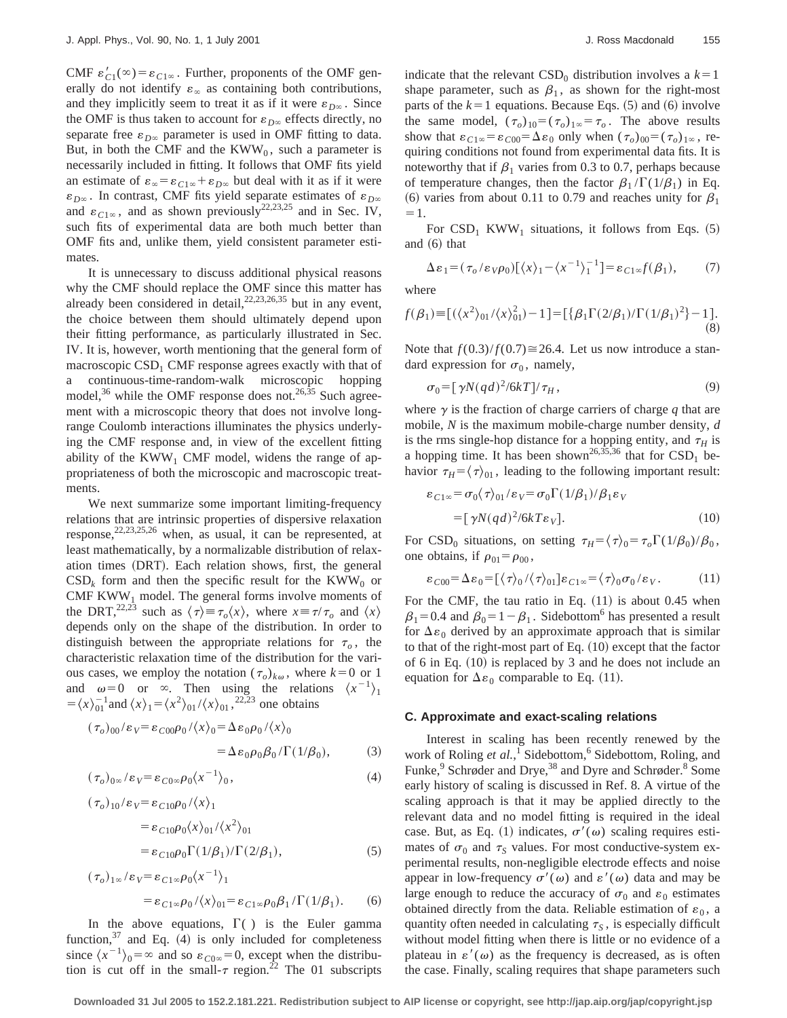CMF  $\varepsilon'_{C1}(\infty) = \varepsilon_{C1\infty}$ . Further, proponents of the OMF generally do not identify  $\varepsilon_{\infty}$  as containing both contributions, and they implicitly seem to treat it as if it were  $\varepsilon_{D^\infty}$ . Since the OMF is thus taken to account for  $\varepsilon_{D^\infty}$  effects directly, no separate free  $\varepsilon_{D^\infty}$  parameter is used in OMF fitting to data. But, in both the CMF and the  $KWW_0$ , such a parameter is necessarily included in fitting. It follows that OMF fits yield an estimate of  $\varepsilon_{\infty} = \varepsilon_{C1\infty} + \varepsilon_{D\infty}$  but deal with it as if it were  $\varepsilon_{D^\infty}$ . In contrast, CMF fits yield separate estimates of  $\varepsilon_{D^\infty}$ and  $\varepsilon_{C1\infty}$ , and as shown previously<sup>22,23,25</sup> and in Sec. IV, such fits of experimental data are both much better than OMF fits and, unlike them, yield consistent parameter estimates.

It is unnecessary to discuss additional physical reasons why the CMF should replace the OMF since this matter has already been considered in detail,  $22,23,26,35$  but in any event, the choice between them should ultimately depend upon their fitting performance, as particularly illustrated in Sec. IV. It is, however, worth mentioning that the general form of macroscopic  $CSD<sub>1</sub>$  CMF response agrees exactly with that of a continuous-time-random-walk microscopic hopping model, $36$  while the OMF response does not.  $26,35$  Such agreement with a microscopic theory that does not involve longrange Coulomb interactions illuminates the physics underlying the CMF response and, in view of the excellent fitting ability of the  $KWW_1$  CMF model, widens the range of appropriateness of both the microscopic and macroscopic treatments.

We next summarize some important limiting-frequency relations that are intrinsic properties of dispersive relaxation response,  $22,23,25,26$  when, as usual, it can be represented, at least mathematically, by a normalizable distribution of relaxation times (DRT). Each relation shows, first, the general  $CSD_k$  form and then the specific result for the KWW<sub>0</sub> or CMF  $KWW_1$  model. The general forms involve moments of the DRT,<sup>22,23</sup> such as  $\langle \tau \rangle = \tau_o \langle x \rangle$ , where  $x = \tau / \tau_o$  and  $\langle x \rangle$ depends only on the shape of the distribution. In order to distinguish between the appropriate relations for  $\tau_o$ , the characteristic relaxation time of the distribution for the various cases, we employ the notation  $(\tau_o)_{k\omega}$ , where  $k=0$  or 1 and  $\omega=0$  or  $\infty$ . Then using the relations  $\langle x^{-1} \rangle_1$  $=\langle x \rangle_0^{-1}$  and  $\langle x \rangle_1 = \langle x^2 \rangle_0 / \langle x \rangle_0$ , <sup>22,23</sup> one obtains

$$
(\tau_o)_{00}/\varepsilon_V = \varepsilon_{C00}\rho_0/\langle x \rangle_0 = \Delta\varepsilon_0\rho_0/\langle x \rangle_0
$$
  
=  $\Delta\varepsilon_0\rho_0\beta_0/\Gamma(1/\beta_0)$ , (3)

$$
(\tau_o)_{0\infty}/\varepsilon_V = \varepsilon_{C0\infty}\rho_0 \langle x^{-1} \rangle_0, \tag{4}
$$

$$
(\tau_o)_{10}/\varepsilon_V = \varepsilon_{C10}\rho_0/\langle x \rangle_1
$$
  
=  $\varepsilon_{C10}\rho_0\langle x \rangle_{01}/\langle x^2 \rangle_{01}$   
=  $\varepsilon_{C10}\rho_0\Gamma(1/\beta_1)/\Gamma(2/\beta_1)$ , (5)

$$
(\tau_o)_{1\infty}/\varepsilon_V = \varepsilon_{C1\infty}\rho_0 \langle x^{-1} \rangle_1
$$
  
=  $\varepsilon_{C1\infty}\rho_0/\langle x \rangle_{01} = \varepsilon_{C1\infty}\rho_0 \beta_1/\Gamma(1/\beta_1).$  (6)

In the above equations,  $\Gamma$ ( ) is the Euler gamma function,  $37$  and Eq. (4) is only included for completeness since  $\langle x^{-1} \rangle_0 = \infty$  and so  $\varepsilon_{C0\infty} = 0$ , except when the distribution is cut off in the small- $\tau$  region.<sup>22</sup> The 01 subscripts indicate that the relevant  $\text{CSD}_0$  distribution involves a  $k=1$ shape parameter, such as  $\beta_1$ , as shown for the right-most parts of the  $k=1$  equations. Because Eqs. (5) and (6) involve the same model,  $(\tau_o)_{10} = (\tau_o)_{10} = \tau_o$ . The above results show that  $\varepsilon_{C1\infty} = \varepsilon_{C00} = \Delta \varepsilon_0$  only when  $(\tau_o)_{00} = (\tau_o)_{1\infty}$ , requiring conditions not found from experimental data fits. It is noteworthy that if  $\beta_1$  varies from 0.3 to 0.7, perhaps because of temperature changes, then the factor  $\beta_1 / \Gamma(1/\beta_1)$  in Eq. (6) varies from about 0.11 to 0.79 and reaches unity for  $\beta_1$  $=1.$ 

For  $\text{CSD}_1$  KWW<sub>1</sub> situations, it follows from Eqs. (5) and  $(6)$  that

$$
\Delta \varepsilon_1 = (\tau_o / \varepsilon_v \rho_0) [\langle x \rangle_1 - \langle x^{-1} \rangle_1^{-1}] = \varepsilon_{C1} f(\beta_1), \tag{7}
$$

where

$$
f(\beta_1) \equiv \left[ \left( \langle x^2 \rangle_{01} / \langle x \rangle_{01}^2 \right) - 1 \right] = \left[ \{ \beta_1 \Gamma(2/\beta_1) / \Gamma(1/\beta_1)^2 \} - 1 \right].
$$
\n(8)

Note that  $f(0.3)/f(0.7) \approx 26.4$ . Let us now introduce a standard expression for  $\sigma_0$ , namely,

$$
\sigma_0 = \left[\gamma N (q d)^2 / 6k T\right] / \tau_H,\tag{9}
$$

where  $\gamma$  is the fraction of charge carriers of charge  $q$  that are mobile, *N* is the maximum mobile-charge number density, *d* is the rms single-hop distance for a hopping entity, and  $\tau$ <sup>*H*</sup> is a hopping time. It has been shown<sup>26,35,36</sup> that for  $\text{CSD}_1$  behavior  $\tau_H = \langle \tau \rangle_{01}$ , leading to the following important result:

$$
\varepsilon_{C1\infty} = \sigma_0 \langle \tau \rangle_{01} / \varepsilon_V = \sigma_0 \Gamma(1/\beta_1) / \beta_1 \varepsilon_V
$$
  
= 
$$
[\gamma N(qd)^2 / 6kT\varepsilon_V].
$$
 (10)

For CSD<sub>0</sub> situations, on setting  $\tau_H = \langle \tau \rangle_0 = \tau_o \Gamma(1/\beta_0)/\beta_0$ , one obtains, if  $\rho_{01} = \rho_{00}$ ,

$$
\varepsilon_{C00} = \Delta \varepsilon_0 = [\langle \tau \rangle_0 / \langle \tau \rangle_{01}] \varepsilon_{C1^\infty} = \langle \tau \rangle_0 \sigma_0 / \varepsilon_V. \tag{11}
$$

For the CMF, the tau ratio in Eq.  $(11)$  is about 0.45 when  $\beta_1=0.4$  and  $\beta_0=1-\beta_1$ . Sidebottom<sup>6</sup> has presented a result for  $\Delta \varepsilon_0$  derived by an approximate approach that is similar to that of the right-most part of Eq.  $(10)$  except that the factor of 6 in Eq.  $(10)$  is replaced by 3 and he does not include an equation for  $\Delta \varepsilon_0$  comparable to Eq. (11).

#### **C. Approximate and exact-scaling relations**

Interest in scaling has been recently renewed by the work of Roling et al.,<sup>1</sup> Sidebottom,<sup>6</sup> Sidebottom, Roling, and Funke,<sup>9</sup> Schrøder and Drye,<sup>38</sup> and Dyre and Schrøder.<sup>8</sup> Some early history of scaling is discussed in Ref. 8. A virtue of the scaling approach is that it may be applied directly to the relevant data and no model fitting is required in the ideal case. But, as Eq. (1) indicates,  $\sigma'(\omega)$  scaling requires estimates of  $\sigma_0$  and  $\tau_s$  values. For most conductive-system experimental results, non-negligible electrode effects and noise appear in low-frequency  $\sigma'(\omega)$  and  $\varepsilon'(\omega)$  data and may be large enough to reduce the accuracy of  $\sigma_0$  and  $\varepsilon_0$  estimates obtained directly from the data. Reliable estimation of  $\varepsilon_0$ , a quantity often needed in calculating  $\tau_s$ , is especially difficult without model fitting when there is little or no evidence of a plateau in  $\varepsilon'(\omega)$  as the frequency is decreased, as is often the case. Finally, scaling requires that shape parameters such

**Downloaded 31 Jul 2005 to 152.2.181.221. Redistribution subject to AIP license or copyright, see http://jap.aip.org/jap/copyright.jsp**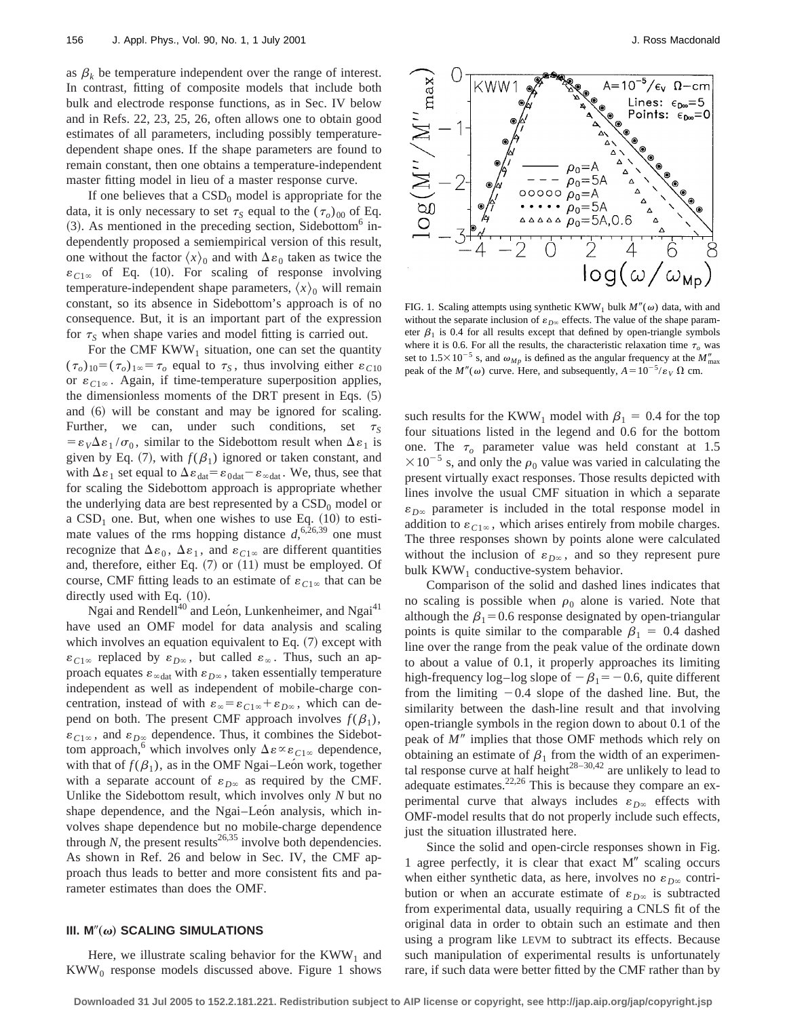as  $\beta_k$  be temperature independent over the range of interest. In contrast, fitting of composite models that include both bulk and electrode response functions, as in Sec. IV below and in Refs. 22, 23, 25, 26, often allows one to obtain good estimates of all parameters, including possibly temperaturedependent shape ones. If the shape parameters are found to remain constant, then one obtains a temperature-independent master fitting model in lieu of a master response curve.

If one believes that a  $\mathrm{CSD}_0$  model is appropriate for the data, it is only necessary to set  $\tau_s$  equal to the  $(\tau_o)_{00}$  of Eq.  $(3)$ . As mentioned in the preceding section, Sidebottom<sup>6</sup> independently proposed a semiempirical version of this result, one without the factor  $\langle x \rangle_0$  and with  $\Delta \varepsilon_0$  taken as twice the  $\varepsilon_{C1\infty}$  of Eq. (10). For scaling of response involving temperature-independent shape parameters,  $\langle x \rangle_0$  will remain constant, so its absence in Sidebottom's approach is of no consequence. But, it is an important part of the expression for  $\tau_s$  when shape varies and model fitting is carried out.

For the CMF  $KWW_1$  situation, one can set the quantity  $(\tau_o)_{10} = (\tau_o)_{1\infty} = \tau_o$  equal to  $\tau_s$ , thus involving either  $\varepsilon_{C10}$ or  $\varepsilon_{C1\infty}$ . Again, if time-temperature superposition applies, the dimensionless moments of the DRT present in Eqs.  $(5)$ and  $(6)$  will be constant and may be ignored for scaling. Further, we can, under such conditions, set  $\tau_s$  $= \varepsilon_{V} \Delta \varepsilon_{1} / \sigma_{0}$ , similar to the Sidebottom result when  $\Delta \varepsilon_{1}$  is given by Eq. (7), with  $f(\beta_1)$  ignored or taken constant, and with  $\Delta \varepsilon_1$  set equal to  $\Delta \varepsilon_{\text{dat}} = \varepsilon_{\text{0dat}} - \varepsilon_{\infty_{\text{dat}}}$ . We, thus, see that for scaling the Sidebottom approach is appropriate whether the underlying data are best represented by a  $\mathrm{CSD}_0$  model or a  $CSD<sub>1</sub>$  one. But, when one wishes to use Eq. (10) to estimate values of the rms hopping distance  $d, ^{6,26,39}$  one must recognize that  $\Delta \varepsilon_0$ ,  $\Delta \varepsilon_1$ , and  $\varepsilon_{C1\infty}$  are different quantities and, therefore, either Eq.  $(7)$  or  $(11)$  must be employed. Of course, CMF fitting leads to an estimate of  $\varepsilon_{C1\infty}$  that can be directly used with Eq.  $(10)$ .

Ngai and Rendell<sup>40</sup> and Leon, Lunkenheimer, and Ngai<sup>41</sup> have used an OMF model for data analysis and scaling which involves an equation equivalent to Eq.  $(7)$  except with  $\varepsilon_{C1\infty}$  replaced by  $\varepsilon_{D\infty}$ , but called  $\varepsilon_{\infty}$ . Thus, such an approach equates  $\varepsilon_{\infty}$ dat with  $\varepsilon_{D^{\infty}}$ , taken essentially temperature independent as well as independent of mobile-charge concentration, instead of with  $\varepsilon_{\infty} = \varepsilon_{C1\infty} + \varepsilon_{D\infty}$ , which can depend on both. The present CMF approach involves  $f(\beta_1)$ ,  $\varepsilon_{C1\infty}$ , and  $\varepsilon_{D\infty}$  dependence. Thus, it combines the Sidebottom approach,<sup>6</sup> which involves only  $\Delta \varepsilon \propto \varepsilon_{C1\infty}$  dependence, with that of  $f(\beta_1)$ , as in the OMF Ngai–Leon work, together with a separate account of  $\varepsilon_{D^\infty}$  as required by the CMF. Unlike the Sidebottom result, which involves only *N* but no shape dependence, and the Ngai–León analysis, which involves shape dependence but no mobile-charge dependence through  $N$ , the present results<sup>26,35</sup> involve both dependencies. As shown in Ref. 26 and below in Sec. IV, the CMF approach thus leads to better and more consistent fits and parameter estimates than does the OMF.

## $III. M''(\omega)$  SCALING SIMULATIONS

Here, we illustrate scaling behavior for the  $KWW_1$  and  $KWW<sub>0</sub>$  response models discussed above. Figure 1 shows



FIG. 1. Scaling attempts using synthetic KWW<sub>1</sub> bulk  $M''(\omega)$  data, with and without the separate inclusion of  $\varepsilon_{D^\infty}$  effects. The value of the shape parameter  $\beta_1$  is 0.4 for all results except that defined by open-triangle symbols where it is 0.6. For all the results, the characteristic relaxation time  $\tau_o$  was set to  $1.5 \times 10^{-5}$  s, and  $\omega_{Mp}$  is defined as the angular frequency at the  $M''_{\text{max}}$ peak of the  $M''(\omega)$  curve. Here, and subsequently,  $A=10^{-5}/\varepsilon_V \Omega$  cm.

such results for the KWW<sub>1</sub> model with  $\beta_1 = 0.4$  for the top four situations listed in the legend and 0.6 for the bottom one. The  $\tau$  parameter value was held constant at 1.5  $\times 10^{-5}$  s, and only the  $\rho_0$  value was varied in calculating the present virtually exact responses. Those results depicted with lines involve the usual CMF situation in which a separate  $\varepsilon_{D\infty}$  parameter is included in the total response model in addition to  $\varepsilon_{C1\infty}$ , which arises entirely from mobile charges. The three responses shown by points alone were calculated without the inclusion of  $\varepsilon_{D^\infty}$ , and so they represent pure bulk  $KWW<sub>1</sub>$  conductive-system behavior.

Comparison of the solid and dashed lines indicates that no scaling is possible when  $\rho_0$  alone is varied. Note that although the  $\beta_1=0.6$  response designated by open-triangular points is quite similar to the comparable  $\beta_1 = 0.4$  dashed line over the range from the peak value of the ordinate down to about a value of 0.1, it properly approaches its limiting high-frequency log–log slope of  $-\beta_1 = -0.6$ , quite different from the limiting  $-0.4$  slope of the dashed line. But, the similarity between the dash-line result and that involving open-triangle symbols in the region down to about 0.1 of the peak of *M*9 implies that those OMF methods which rely on obtaining an estimate of  $\beta_1$  from the width of an experimental response curve at half height $28-30,42$  are unlikely to lead to adequate estimates. $22,26$  This is because they compare an experimental curve that always includes  $\varepsilon_{D\infty}$  effects with OMF-model results that do not properly include such effects, just the situation illustrated here.

Since the solid and open-circle responses shown in Fig. 1 agree perfectly, it is clear that exact  $M''$  scaling occurs when either synthetic data, as here, involves no  $\varepsilon_{D^\infty}$  contribution or when an accurate estimate of  $\varepsilon_{D^\infty}$  is subtracted from experimental data, usually requiring a CNLS fit of the original data in order to obtain such an estimate and then using a program like LEVM to subtract its effects. Because such manipulation of experimental results is unfortunately rare, if such data were better fitted by the CMF rather than by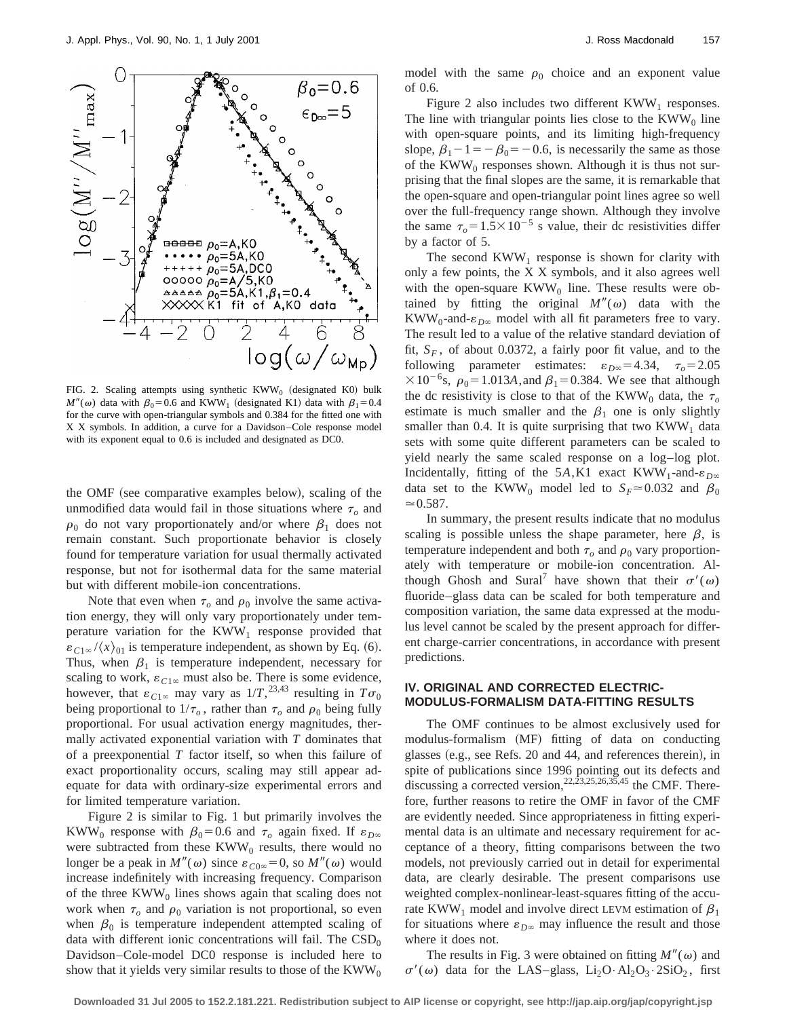

FIG. 2. Scaling attempts using synthetic  $KWW_0$  (designated K0) bulk  $M''(\omega)$  data with  $\beta_0=0.6$  and KWW<sub>1</sub> (designated K1) data with  $\beta_1=0.4$ for the curve with open-triangular symbols and 0.384 for the fitted one with X X symbols. In addition, a curve for a Davidson–Cole response model with its exponent equal to 0.6 is included and designated as DC0.

the OMF (see comparative examples below), scaling of the unmodified data would fail in those situations where  $\tau<sub>o</sub>$  and  $\rho_0$  do not vary proportionately and/or where  $\beta_1$  does not remain constant. Such proportionate behavior is closely found for temperature variation for usual thermally activated response, but not for isothermal data for the same material but with different mobile-ion concentrations.

Note that even when  $\tau$ <sub>o</sub> and  $\rho$ <sub>0</sub> involve the same activation energy, they will only vary proportionately under temperature variation for the  $KWW_1$  response provided that  $\varepsilon_{C1\infty}/\langle x \rangle_{01}$  is temperature independent, as shown by Eq. (6). Thus, when  $\beta_1$  is temperature independent, necessary for scaling to work,  $\varepsilon_{C1\infty}$  must also be. There is some evidence, however, that  $\varepsilon_{C1\infty}$  may vary as  $1/T$ ,  $^{23,43}$  resulting in  $T\sigma_0$ being proportional to  $1/\tau_o$ , rather than  $\tau_o$  and  $\rho_0$  being fully proportional. For usual activation energy magnitudes, thermally activated exponential variation with *T* dominates that of a preexponential *T* factor itself, so when this failure of exact proportionality occurs, scaling may still appear adequate for data with ordinary-size experimental errors and for limited temperature variation.

Figure 2 is similar to Fig. 1 but primarily involves the KWW<sub>0</sub> response with  $\beta_0=0.6$  and  $\tau_o$  again fixed. If  $\varepsilon_{D\infty}$ were subtracted from these  $KWW_0$  results, there would no longer be a peak in  $M''(\omega)$  since  $\varepsilon_{C0\infty} = 0$ , so  $M''(\omega)$  would increase indefinitely with increasing frequency. Comparison of the three  $KWW_0$  lines shows again that scaling does not work when  $\tau_o$  and  $\rho_0$  variation is not proportional, so even when  $\beta_0$  is temperature independent attempted scaling of data with different ionic concentrations will fail. The  $\mathrm{CSD}_0$ Davidson–Cole-model DC0 response is included here to show that it yields very similar results to those of the  $KWW_0$  model with the same  $\rho_0$  choice and an exponent value of 0.6.

Figure 2 also includes two different  $KWW_1$  responses. The line with triangular points lies close to the  $KWW<sub>0</sub>$  line with open-square points, and its limiting high-frequency slope,  $\beta_1 - 1 = -\beta_0 = -0.6$ , is necessarily the same as those of the KWW<sub>0</sub> responses shown. Although it is thus not surprising that the final slopes are the same, it is remarkable that the open-square and open-triangular point lines agree so well over the full-frequency range shown. Although they involve the same  $\tau_o = 1.5 \times 10^{-5}$  s value, their dc resistivities differ by a factor of 5.

The second  $KWW_1$  response is shown for clarity with only a few points, the X X symbols, and it also agrees well with the open-square  $KWW_0$  line. These results were obtained by fitting the original  $M''(\omega)$  data with the KWW<sub>0</sub>-and- $\varepsilon_{D\infty}$  model with all fit parameters free to vary. The result led to a value of the relative standard deviation of fit,  $S_F$ , of about 0.0372, a fairly poor fit value, and to the following parameter estimates:  $\varepsilon_{D\infty} = 4.34$ ,  $\tau_o = 2.05$  $\times 10^{-6}$ s,  $\rho_0 = 1.013A$ , and  $\beta_1 = 0.384$ . We see that although the dc resistivity is close to that of the KWW<sub>0</sub> data, the  $\tau_o$ estimate is much smaller and the  $\beta_1$  one is only slightly smaller than 0.4. It is quite surprising that two  $KWW_1$  data sets with some quite different parameters can be scaled to yield nearly the same scaled response on a log–log plot. Incidentally, fitting of the 5*A*,K1 exact KWW<sub>1</sub>-and- $\varepsilon_{D\infty}$ data set to the KWW<sub>0</sub> model led to  $S_F \approx 0.032$  and  $\beta_0$  $\simeq 0.587$ .

In summary, the present results indicate that no modulus scaling is possible unless the shape parameter, here  $\beta$ , is temperature independent and both  $\tau$ <sub>o</sub> and  $\rho$ <sub>0</sub> vary proportionately with temperature or mobile-ion concentration. Although Ghosh and Sural<sup>7</sup> have shown that their  $\sigma'(\omega)$ fluoride–glass data can be scaled for both temperature and composition variation, the same data expressed at the modulus level cannot be scaled by the present approach for different charge-carrier concentrations, in accordance with present predictions.

# **IV. ORIGINAL AND CORRECTED ELECTRIC-MODULUS-FORMALISM DATA-FITTING RESULTS**

The OMF continues to be almost exclusively used for modulus-formalism (MF) fitting of data on conducting glasses (e.g., see Refs. 20 and 44, and references therein), in spite of publications since 1996 pointing out its defects and discussing a corrected version,  $^{22, \overline{23}, 25, 26, 35, 45}$  the CMF. Therefore, further reasons to retire the OMF in favor of the CMF are evidently needed. Since appropriateness in fitting experimental data is an ultimate and necessary requirement for acceptance of a theory, fitting comparisons between the two models, not previously carried out in detail for experimental data, are clearly desirable. The present comparisons use weighted complex-nonlinear-least-squares fitting of the accurate KWW<sub>1</sub> model and involve direct LEVM estimation of  $\beta_1$ for situations where  $\varepsilon_{D^\infty}$  may influence the result and those where it does not.

The results in Fig. 3 were obtained on fitting  $M''(\omega)$  and  $\sigma'(\omega)$  data for the LAS–glass, Li<sub>2</sub>O·Al<sub>2</sub>O<sub>3</sub>·2SiO<sub>2</sub>, first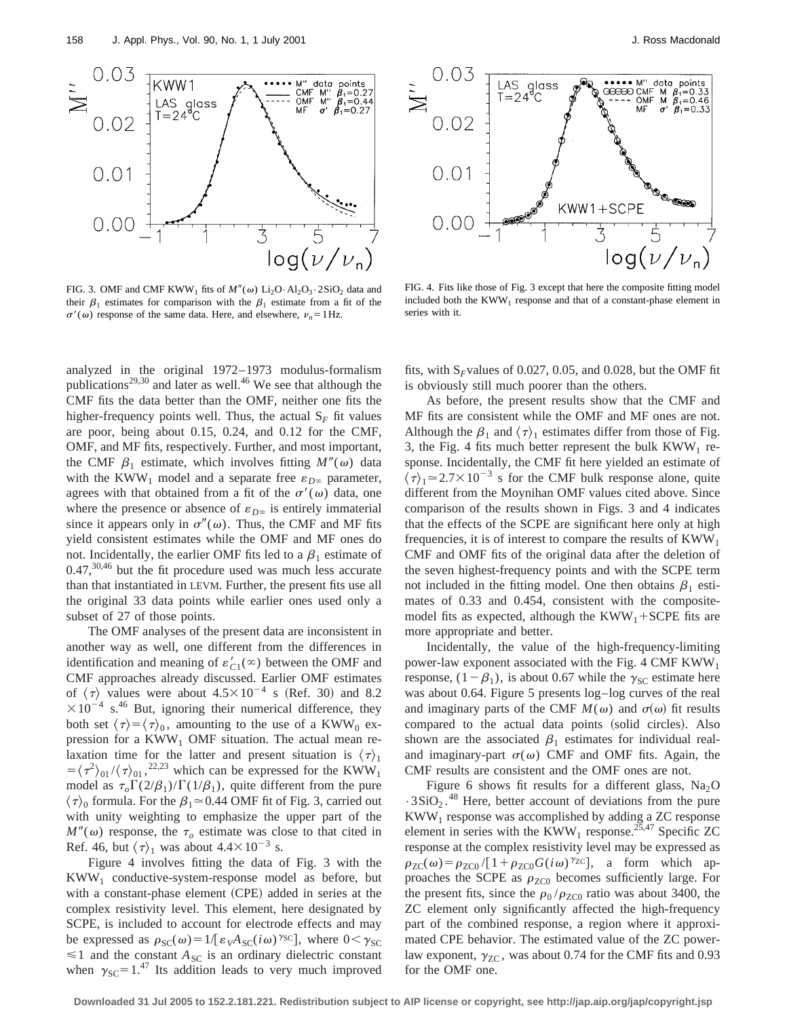

FIG. 3. OMF and CMF KWW<sub>1</sub> fits of  $M''(\omega)$  Li<sub>2</sub>O·Al<sub>2</sub>O<sub>3</sub>·2SiO<sub>2</sub> data and their  $\beta_1$  estimates for comparison with the  $\beta_1$  estimate from a fit of the  $\sigma'(\omega)$  response of the same data. Here, and elsewhere,  $v_n = 1$  Hz.



FIG. 4. Fits like those of Fig. 3 except that here the composite fitting model included both the  $KWW_1$  response and that of a constant-phase element in series with it.

analyzed in the original 1972–1973 modulus-formalism publications<sup>29,30</sup> and later as well.<sup>46</sup> We see that although the CMF fits the data better than the OMF, neither one fits the higher-frequency points well. Thus, the actual  $S_F$  fit values are poor, being about 0.15, 0.24, and 0.12 for the CMF, OMF, and MF fits, respectively. Further, and most important, the CMF  $\beta_1$  estimate, which involves fitting  $M''(\omega)$  data with the KWW<sub>1</sub> model and a separate free  $\varepsilon_{D^\infty}$  parameter, agrees with that obtained from a fit of the  $\sigma'(\omega)$  data, one where the presence or absence of  $\varepsilon_{D^\infty}$  is entirely immaterial since it appears only in  $\sigma''(\omega)$ . Thus, the CMF and MF fits yield consistent estimates while the OMF and MF ones do not. Incidentally, the earlier OMF fits led to a  $\beta_1$  estimate of  $0.47$ ,  $30,46$  but the fit procedure used was much less accurate than that instantiated in LEVM. Further, the present fits use all the original 33 data points while earlier ones used only a subset of 27 of those points.

The OMF analyses of the present data are inconsistent in another way as well, one different from the differences in identification and meaning of  $\varepsilon'_{C1}(\infty)$  between the OMF and CMF approaches already discussed. Earlier OMF estimates of  $\langle \tau \rangle$  values were about  $4.5 \times 10^{-4}$  s (Ref. 30) and 8.2  $\times 10^{-4}$  s.<sup>46</sup> But, ignoring their numerical difference, they both set  $\langle \tau \rangle = \langle \tau \rangle_0$ , amounting to the use of a KWW<sub>0</sub> expression for a  $KWW_1$  OMF situation. The actual mean relaxation time for the latter and present situation is  $\langle \tau \rangle_1$  $= \langle \tau^2 \rangle_{01} / \langle \tau \rangle_{01}$ ,  $^{22,23}$  which can be expressed for the KWW<sub>1</sub> model as  $\tau_o\Gamma(2/\beta_1)/\Gamma(1/\beta_1)$ , quite different from the pure  $\langle \tau \rangle_0$  formula. For the  $\beta_1 \approx 0.44$  OMF fit of Fig. 3, carried out with unity weighting to emphasize the upper part of the  $M''(\omega)$  response, the  $\tau_o$  estimate was close to that cited in Ref. 46, but  $\langle \tau \rangle_1$  was about 4.4×10<sup>-3</sup> s.

Figure 4 involves fitting the data of Fig. 3 with the KWW1 conductive-system-response model as before, but with a constant-phase element (CPE) added in series at the complex resistivity level. This element, here designated by SCPE, is included to account for electrode effects and may be expressed as  $\rho_{SC}(\omega) = 1/[\varepsilon_{V}A_{SC}(i\omega)^{\gamma_{SC}}]$ , where  $0 < \gamma_{SC}$  $\leq 1$  and the constant  $A_{SC}$  is an ordinary dielectric constant when  $\gamma_{SC} = 1.^{47}$  Its addition leads to very much improved fits, with  $S_F$ values of 0.027, 0.05, and 0.028, but the OMF fit is obviously still much poorer than the others.

As before, the present results show that the CMF and MF fits are consistent while the OMF and MF ones are not. Although the  $\beta_1$  and  $\langle \tau \rangle_1$  estimates differ from those of Fig. 3, the Fig. 4 fits much better represent the bulk  $KWW_1$  response. Incidentally, the CMF fit here yielded an estimate of  $\langle \tau \rangle_1 \approx 2.7 \times 10^{-3}$  s for the CMF bulk response alone, quite different from the Moynihan OMF values cited above. Since comparison of the results shown in Figs. 3 and 4 indicates that the effects of the SCPE are significant here only at high frequencies, it is of interest to compare the results of  $KWW_1$ CMF and OMF fits of the original data after the deletion of the seven highest-frequency points and with the SCPE term not included in the fitting model. One then obtains  $\beta_1$  estimates of 0.33 and 0.454, consistent with the compositemodel fits as expected, although the  $KWW_1+SCPE$  fits are more appropriate and better.

Incidentally, the value of the high-frequency-limiting power-law exponent associated with the Fig. 4 CMF  $KWW_1$ response,  $(1-\beta_1)$ , is about 0.67 while the  $\gamma_{SC}$  estimate here was about 0.64. Figure 5 presents log–log curves of the real and imaginary parts of the CMF  $M(\omega)$  and  $\sigma(\omega)$  fit results compared to the actual data points (solid circles). Also shown are the associated  $\beta_1$  estimates for individual realand imaginary-part  $\sigma(\omega)$  CMF and OMF fits. Again, the CMF results are consistent and the OMF ones are not.

Figure 6 shows fit results for a different glass,  $Na<sub>2</sub>O$  $\cdot$  3SiO<sub>2</sub>.<sup>48</sup> Here, better account of deviations from the pure  $KWW<sub>1</sub>$  response was accomplished by adding a ZC response element in series with the KWW<sub>1</sub> response.<sup>25,47</sup> Specific ZC response at the complex resistivity level may be expressed as  $\rho_{ZC}(\omega) = \rho_{ZC0} / [1 + \rho_{ZC0} G(i\omega)^{\gamma_{ZC}}]$ , a form which approaches the SCPE as  $\rho_{ZCD}$  becomes sufficiently large. For the present fits, since the  $\rho_0 / \rho_{ZCO}$  ratio was about 3400, the ZC element only significantly affected the high-frequency part of the combined response, a region where it approximated CPE behavior. The estimated value of the ZC powerlaw exponent,  $\gamma_{ZC}$ , was about 0.74 for the CMF fits and 0.93 for the OMF one.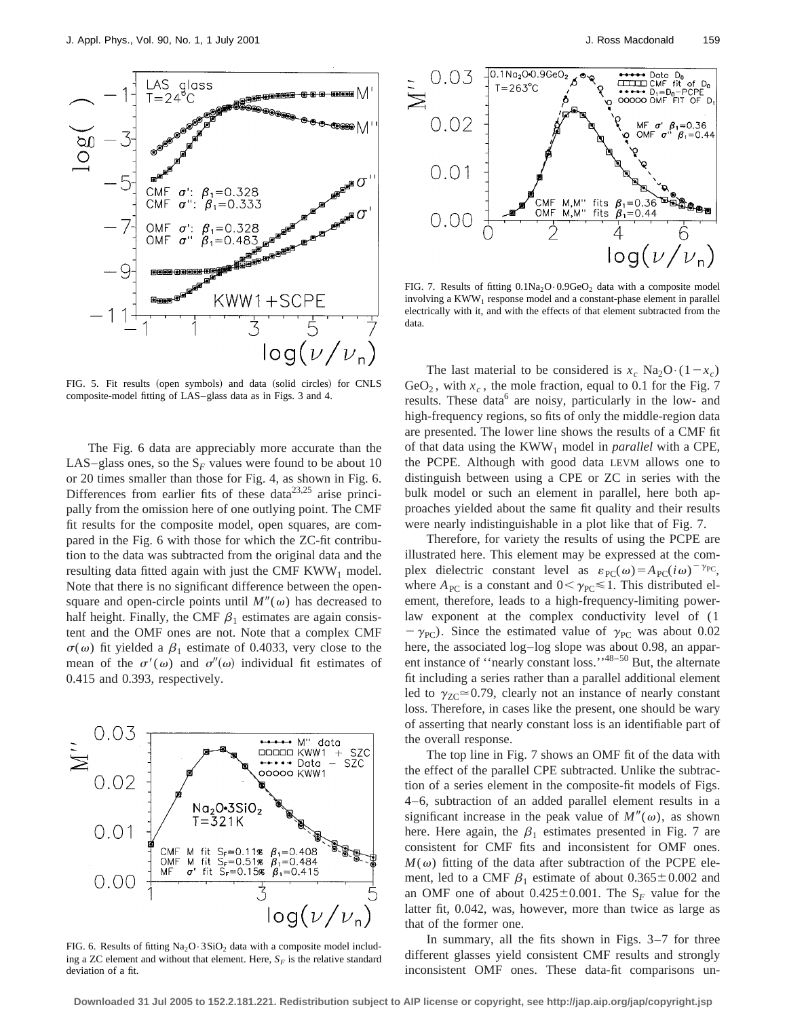

FIG. 5. Fit results (open symbols) and data (solid circles) for CNLS composite-model fitting of LAS–glass data as in Figs. 3 and 4.

The Fig. 6 data are appreciably more accurate than the LAS–glass ones, so the  $S_F$  values were found to be about 10 or 20 times smaller than those for Fig. 4, as shown in Fig. 6. Differences from earlier fits of these data $2^{3,25}$  arise principally from the omission here of one outlying point. The CMF fit results for the composite model, open squares, are compared in the Fig. 6 with those for which the ZC-fit contribution to the data was subtracted from the original data and the resulting data fitted again with just the CMF  $KWW_1$  model. Note that there is no significant difference between the opensquare and open-circle points until  $M''(\omega)$  has decreased to half height. Finally, the CMF  $\beta_1$  estimates are again consistent and the OMF ones are not. Note that a complex CMF  $\sigma(\omega)$  fit yielded a  $\beta_1$  estimate of 0.4033, very close to the mean of the  $\sigma'(\omega)$  and  $\sigma''(\omega)$  individual fit estimates of 0.415 and 0.393, respectively.



FIG. 6. Results of fitting  $Na<sub>2</sub>O·3SiO<sub>2</sub>$  data with a composite model including a ZC element and without that element. Here,  $S_F$  is the relative standard deviation of a fit.



FIG. 7. Results of fitting  $0.1Na_2O \cdot 0.9GeO_2$  data with a composite model involving a  $KWW_1$  response model and a constant-phase element in parallel electrically with it, and with the effects of that element subtracted from the data.

The last material to be considered is  $x_c$  Na<sub>2</sub>O·(1- $x_c$ ) GeO<sub>2</sub>, with  $x_c$ , the mole fraction, equal to 0.1 for the Fig. 7 results. These data<sup>6</sup> are noisy, particularly in the low- and high-frequency regions, so fits of only the middle-region data are presented. The lower line shows the results of a CMF fit of that data using the KWW1 model in *parallel* with a CPE, the PCPE. Although with good data LEVM allows one to distinguish between using a CPE or ZC in series with the bulk model or such an element in parallel, here both approaches yielded about the same fit quality and their results were nearly indistinguishable in a plot like that of Fig. 7.

Therefore, for variety the results of using the PCPE are illustrated here. This element may be expressed at the complex dielectric constant level as  $\varepsilon_{\text{PC}}(\omega) = A_{\text{PC}}(i\omega)^{-\gamma_{\text{PC}}},$ where  $A_{PC}$  is a constant and  $0 < \gamma_{PC} \le 1$ . This distributed element, therefore, leads to a high-frequency-limiting powerlaw exponent at the complex conductivity level of (1  $-\gamma_{\text{PC}}$ ). Since the estimated value of  $\gamma_{\text{PC}}$  was about 0.02 here, the associated log–log slope was about 0.98, an apparent instance of "nearly constant loss."<sup>48–50</sup> But, the alternate fit including a series rather than a parallel additional element led to  $\gamma_{ZC} \approx 0.79$ , clearly not an instance of nearly constant loss. Therefore, in cases like the present, one should be wary of asserting that nearly constant loss is an identifiable part of the overall response.

The top line in Fig. 7 shows an OMF fit of the data with the effect of the parallel CPE subtracted. Unlike the subtraction of a series element in the composite-fit models of Figs. 4–6, subtraction of an added parallel element results in a significant increase in the peak value of  $M''(\omega)$ , as shown here. Here again, the  $\beta_1$  estimates presented in Fig. 7 are consistent for CMF fits and inconsistent for OMF ones.  $M(\omega)$  fitting of the data after subtraction of the PCPE element, led to a CMF  $\beta_1$  estimate of about  $0.365 \pm 0.002$  and an OMF one of about  $0.425 \pm 0.001$ . The S<sub>F</sub> value for the latter fit, 0.042, was, however, more than twice as large as that of the former one.

In summary, all the fits shown in Figs. 3–7 for three different glasses yield consistent CMF results and strongly inconsistent OMF ones. These data-fit comparisons un-

**Downloaded 31 Jul 2005 to 152.2.181.221. Redistribution subject to AIP license or copyright, see http://jap.aip.org/jap/copyright.jsp**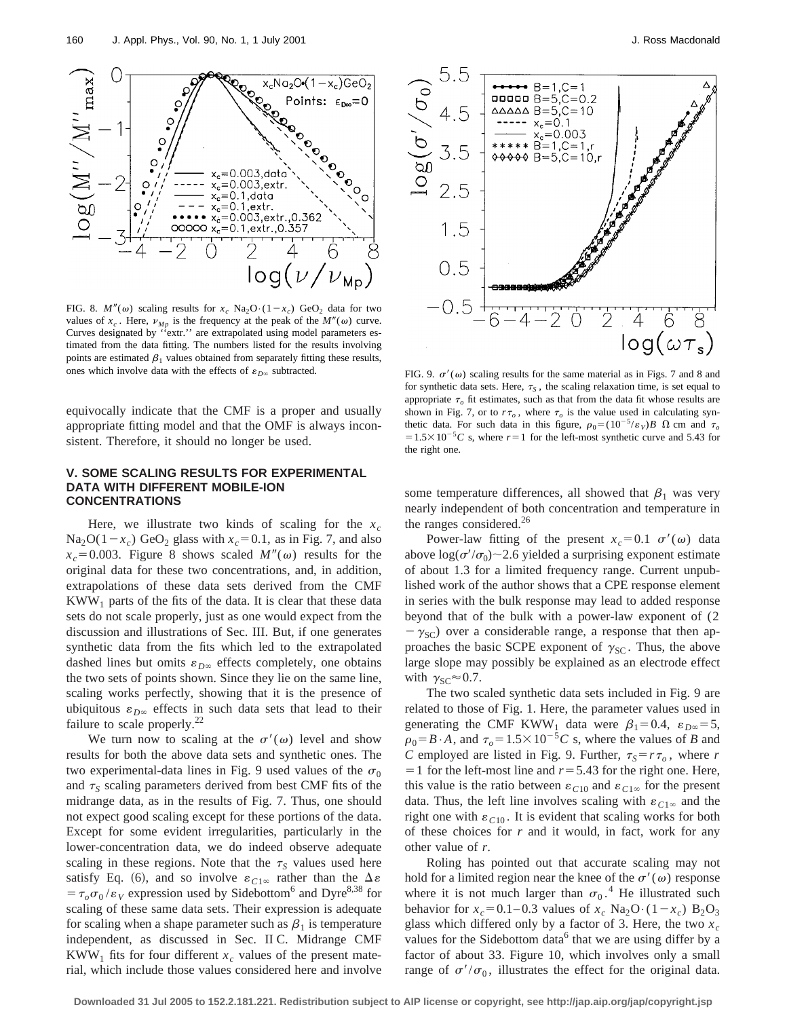

FIG. 8.  $M''(\omega)$  scaling results for  $x_c$  Na<sub>2</sub>O·(1- $x_c$ ) GeO<sub>2</sub> data for two values of  $x_c$ . Here,  $\nu_{Mp}$  is the frequency at the peak of the  $M''(\omega)$  curve. Curves designated by ''extr.'' are extrapolated using model parameters estimated from the data fitting. The numbers listed for the results involving points are estimated  $\beta_1$  values obtained from separately fitting these results, ones which involve data with the effects of  $\varepsilon_{D\infty}$  subtracted. FIG. 9.  $\sigma'(\omega)$  scaling results for the same material as in Figs. 7 and 8 and

equivocally indicate that the CMF is a proper and usually appropriate fitting model and that the OMF is always inconsistent. Therefore, it should no longer be used.

# **V. SOME SCALING RESULTS FOR EXPERIMENTAL DATA WITH DIFFERENT MOBILE-ION CONCENTRATIONS**

Here, we illustrate two kinds of scaling for the  $x_c$  $Na<sub>2</sub>O(1-x<sub>c</sub>)$  GeO<sub>2</sub> glass with  $x<sub>c</sub>=0.1$ , as in Fig. 7, and also  $x_c$ =0.003. Figure 8 shows scaled *M<sup>n</sup>*( $\omega$ ) results for the original data for these two concentrations, and, in addition, extrapolations of these data sets derived from the CMF  $KWW<sub>1</sub>$  parts of the fits of the data. It is clear that these data sets do not scale properly, just as one would expect from the discussion and illustrations of Sec. III. But, if one generates synthetic data from the fits which led to the extrapolated dashed lines but omits  $\varepsilon_{D^\infty}$  effects completely, one obtains the two sets of points shown. Since they lie on the same line, scaling works perfectly, showing that it is the presence of ubiquitous  $\varepsilon_{D^\infty}$  effects in such data sets that lead to their failure to scale properly.<sup>22</sup>

We turn now to scaling at the  $\sigma'(\omega)$  level and show results for both the above data sets and synthetic ones. The two experimental-data lines in Fig. 9 used values of the  $\sigma_0$ and  $\tau_s$  scaling parameters derived from best CMF fits of the midrange data, as in the results of Fig. 7. Thus, one should not expect good scaling except for these portions of the data. Except for some evident irregularities, particularly in the lower-concentration data, we do indeed observe adequate scaling in these regions. Note that the  $\tau_s$  values used here satisfy Eq. (6), and so involve  $\varepsilon_{C1\infty}$  rather than the  $\Delta \varepsilon$  $= \tau_o \sigma_0 / \varepsilon_V$  expression used by Sidebottom<sup>6</sup> and Dyre<sup>8,38</sup> for scaling of these same data sets. Their expression is adequate for scaling when a shape parameter such as  $\beta_1$  is temperature independent, as discussed in Sec. II C. Midrange CMF KWW<sub>1</sub> fits for four different  $x_c$  values of the present material, which include those values considered here and involve



for synthetic data sets. Here,  $\tau_s$ , the scaling relaxation time, is set equal to appropriate  $\tau$ <sub>o</sub> fit estimates, such as that from the data fit whose results are shown in Fig. 7, or to  $r\tau_o$ , where  $\tau_o$  is the value used in calculating synthetic data. For such data in this figure,  $\rho_0 = (10^{-5}/\varepsilon_V)B \Omega$  cm and  $\tau_o$  $=1.5\times10^{-5}C$  s, where  $r=1$  for the left-most synthetic curve and 5.43 for the right one.

some temperature differences, all showed that  $\beta_1$  was very nearly independent of both concentration and temperature in the ranges considered.<sup>26</sup>

Power-law fitting of the present  $x_c=0.1 \sigma'(\omega)$  data above  $\log(\sigma'/\sigma_0)$  ~2.6 yielded a surprising exponent estimate of about 1.3 for a limited frequency range. Current unpublished work of the author shows that a CPE response element in series with the bulk response may lead to added response beyond that of the bulk with a power-law exponent of (2  $-\gamma_{\rm SC}$ ) over a considerable range, a response that then approaches the basic SCPE exponent of  $\gamma_{SC}$ . Thus, the above large slope may possibly be explained as an electrode effect with  $\gamma_{\rm SC} \approx 0.7$ .

The two scaled synthetic data sets included in Fig. 9 are related to those of Fig. 1. Here, the parameter values used in generating the CMF KWW<sub>1</sub> data were  $\beta_1=0.4$ ,  $\varepsilon_{D\infty}=5$ ,  $\rho_0 = B \cdot A$ , and  $\tau_0 = 1.5 \times 10^{-5} C$  s, where the values of *B* and *C* employed are listed in Fig. 9. Further,  $\tau_s = r \tau_o$ , where *r*  $=$  1 for the left-most line and  $r = 5.43$  for the right one. Here, this value is the ratio between  $\varepsilon_{C10}$  and  $\varepsilon_{C1\infty}$  for the present data. Thus, the left line involves scaling with  $\varepsilon_{C1\infty}$  and the right one with  $\varepsilon_{C10}$ . It is evident that scaling works for both of these choices for *r* and it would, in fact, work for any other value of *r*.

Roling has pointed out that accurate scaling may not hold for a limited region near the knee of the  $\sigma'(\omega)$  response where it is not much larger than  $\sigma_0$ .<sup>4</sup> He illustrated such behavior for  $x_c = 0.1 - 0.3$  values of  $x_c$  Na<sub>2</sub>O·(1- $x_c$ ) B<sub>2</sub>O<sub>3</sub> glass which differed only by a factor of 3. Here, the two  $x_c$ values for the Sidebottom data $6$  that we are using differ by a factor of about 33. Figure 10, which involves only a small range of  $\sigma'/\sigma_0$ , illustrates the effect for the original data.